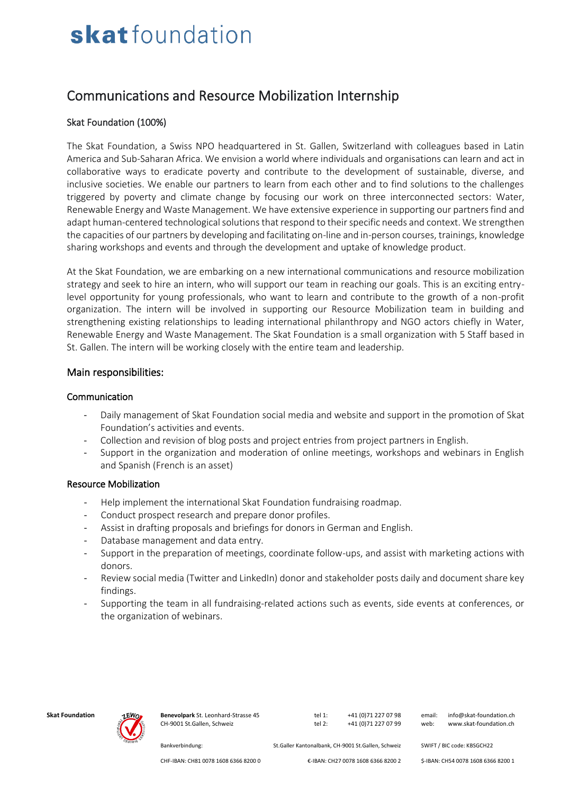# skatfoundation

### Communications and Resource Mobilization Internship

#### Skat Foundation (100%)

The Skat Foundation, a Swiss NPO headquartered in St. Gallen, Switzerland with colleagues based in Latin America and Sub-Saharan Africa. We envision a world where individuals and organisations can learn and act in collaborative ways to eradicate poverty and contribute to the development of sustainable, diverse, and inclusive societies. We enable our partners to learn from each other and to find solutions to the challenges triggered by poverty and climate change by focusing our work on three interconnected sectors: Water, Renewable Energy and Waste Management. We have extensive experience in supporting our partners find and adapt human-centered technological solutions that respond to their specific needs and context. We strengthen the capacities of our partners by developing and facilitating on-line and in-person courses, trainings, knowledge sharing workshops and events and through the development and uptake of knowledge product.

At the Skat Foundation, we are embarking on a new international communications and resource mobilization strategy and seek to hire an intern, who will support our team in reaching our goals. This is an exciting entrylevel opportunity for young professionals, who want to learn and contribute to the growth of a non-profit organization. The intern will be involved in supporting our Resource Mobilization team in building and strengthening existing relationships to leading international philanthropy and NGO actors chiefly in Water, Renewable Energy and Waste Management. The Skat Foundation is a small organization with 5 Staff based in St. Gallen. The intern will be working closely with the entire team and leadership.

#### Main responsibilities:

#### Communication

- Daily management of Skat Foundation social media and website and support in the promotion of Skat Foundation's activities and events.
- Collection and revision of blog posts and project entries from project partners in English.
- Support in the organization and moderation of online meetings, workshops and webinars in English and Spanish (French is an asset)

#### Resource Mobilization

- Help implement the international Skat Foundation fundraising roadmap.
- Conduct prospect research and prepare donor profiles.
- Assist in drafting proposals and briefings for donors in German and English.
- Database management and data entry.
- Support in the preparation of meetings, coordinate follow-ups, and assist with marketing actions with donors.
- Review social media (Twitter and LinkedIn) donor and stakeholder posts daily and document share key findings.
- Supporting the team in all fundraising-related actions such as events, side events at conferences, or the organization of webinars.



**Skat Foundation Benevolpark** St. Leonhard-Strasse 45 tel 1: +41 (0)71 227 07 98 email: info@skat-foundation.ch CH-9001 St.Gallen, Schweiz tel 2: +41 (0)71 227 07 99 web: www.skat-foundation.ch

Bankverbindung: St.Galler Kantonalbank, CH-9001 St.Gallen, Schweiz SWIFT / BIC code: KBSGCH22

CHF-IBAN: CH81 0078 1608 6366 8200 0 €-IBAN: CH27 0078 1608 6366 8200 2 \$-IBAN: CH54 0078 1608 6366 8200 1